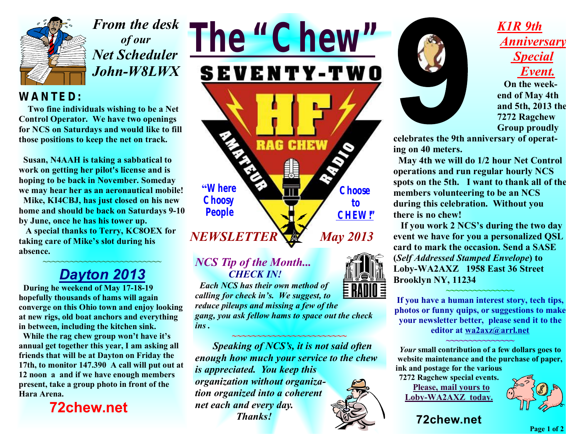

*From the desk of our Net Scheduler John-W8LWX* 

#### *WANTED:*

 **Two fine individuals wishing to be a Net Control Operator. We have two openings for NCS on Saturdays and would like to fill those positions to keep the net on track.** 

 **Susan, N4AAH is taking a sabbatical to work on getting her pilot's license and is hoping to be back in November. Someday we may hear her as an aeronautical mobile!** 

 **Mike, KI4CBJ, has just closed on his new home and should be back on Saturdays 9-10 by June, once he has his tower up.** 

 **A special thanks to Terry, KC8OEX for taking care of Mike's slot during his absence.** 

#### **~~~~~~~~~~~~~~~~~~~~~~~~~~**  *Dayton 2013*

 **During he weekend of May 17-18-19 hopefully thousands of hams will again converge on this Ohio town and enjoy looking at new rigs, old boat anchors and everything in between, including the kitchen sink.** 

 **While the rag chew group won't have it's annual get together this year, I am asking all friends that will be at Dayton on Friday the 17th, to monitor 147.390 A call will put out at 12 noon a and if we have enough members present, take a group photo in front of the Hara Arena.** 

 **72chew.net**



#### *NCS Tip of the Month... CHECK IN!*

 *Each NCS has their own method of calling for check in's. We suggest, to reduce pileups and missing a few of the gang, you ask fellow hams to space out the check ins .* 

*~~~~~~~~~~~~~~~~~~~~~~~ Speaking of NCS's, it is not said often enough how much your service to the chew is appreciated. You keep this organization without organization organized into a coherent net each and every day. Thanks!*



### *K1R 9th Anniversary Special Event.*

 **On the weekend of May 4th and 5th, 2013 the 7272 Ragchew Group proudly** 

**celebrates the 9th anniversary of operating on 40 meters.** 

 **May 4th we will do 1/2 hour Net Control operations and run regular hourly NCS spots on the 5th. I want to thank all of the members volunteering to be an NCS during this celebration. Without you there is no chew!** 

 **If you work 2 NCS's during the two day event we have for you a personalized QSL card to mark the occasion. Send a SASE (***Self Addressed Stamped Envelope***) to Loby-WA2AXZ 1958 East 36 Street Brooklyn NY, 11234**

**If you have a human interest story, tech tips, photos or funny quips, or suggestions to make your newsletter better, please send it to the editor at [wa2axz@arrl.net](mailto:wa2axz@arrl.net)**

**~~~~~~~~~~~~~~~** 

*Your* **small contribution of a few dollars goes to website maintenance and the purchase of paper, ink and postage for the various** 

**~~~~~~~~~~~~~~~** 

**7272 Ragchew special events. Please, mail yours to Loby-WA2AXZ today.** 



**72chew.net**